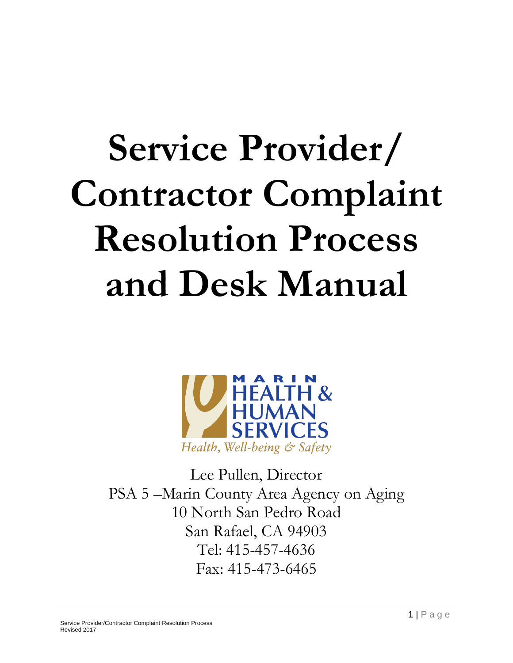# **Service Provider/ Contractor Complaint Resolution Process and Desk Manual**



Lee Pullen, Director PSA 5 –Marin County Area Agency on Aging 10 North San Pedro Road San Rafael, CA 94903 Tel: 415-457-4636 Fax: 415-473-6465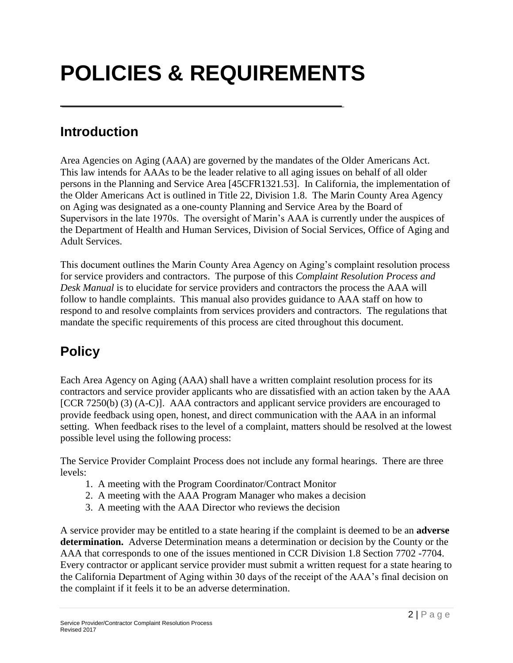# **POLICIES & REQUIREMENTS**

### **Introduction**

Area Agencies on Aging (AAA) are governed by the mandates of the Older Americans Act. This law intends for AAAs to be the leader relative to all aging issues on behalf of all older persons in the Planning and Service Area [45CFR1321.53]. In California, the implementation of the Older Americans Act is outlined in Title 22, Division 1.8. The Marin County Area Agency on Aging was designated as a one-county Planning and Service Area by the Board of Supervisors in the late 1970s. The oversight of Marin's AAA is currently under the auspices of the Department of Health and Human Services, Division of Social Services, Office of Aging and Adult Services.

This document outlines the Marin County Area Agency on Aging's complaint resolution process for service providers and contractors. The purpose of this *Complaint Resolution Process and Desk Manual* is to elucidate for service providers and contractors the process the AAA will follow to handle complaints. This manual also provides guidance to AAA staff on how to respond to and resolve complaints from services providers and contractors. The regulations that mandate the specific requirements of this process are cited throughout this document.

### **Policy**

Each Area Agency on Aging (AAA) shall have a written complaint resolution process for its contractors and service provider applicants who are dissatisfied with an action taken by the AAA [CCR 7250(b) (3) (A-C)]. AAA contractors and applicant service providers are encouraged to provide feedback using open, honest, and direct communication with the AAA in an informal setting. When feedback rises to the level of a complaint, matters should be resolved at the lowest possible level using the following process:

The Service Provider Complaint Process does not include any formal hearings. There are three levels:

- 1. A meeting with the Program Coordinator/Contract Monitor
- 2. A meeting with the AAA Program Manager who makes a decision
- 3. A meeting with the AAA Director who reviews the decision

A service provider may be entitled to a state hearing if the complaint is deemed to be an **adverse determination.** Adverse Determination means a determination or decision by the County or the AAA that corresponds to one of the issues mentioned in CCR Division 1.8 Section 7702 -7704. Every contractor or applicant service provider must submit a written request for a state hearing to the California Department of Aging within 30 days of the receipt of the AAA's final decision on the complaint if it feels it to be an adverse determination.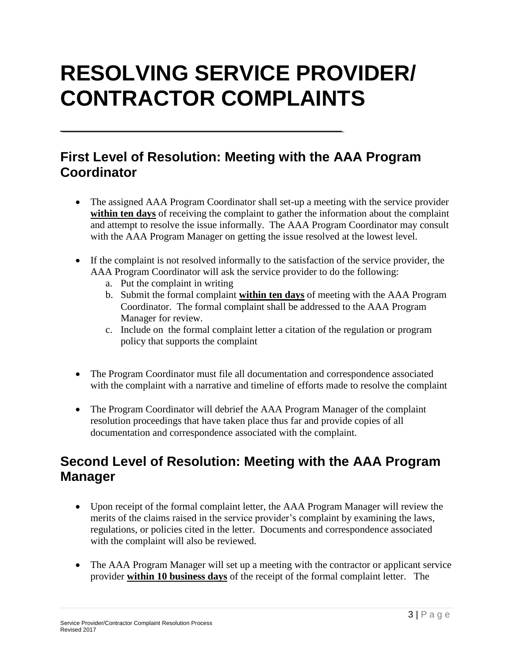### **RESOLVING SERVICE PROVIDER/ CONTRACTOR COMPLAINTS**

#### **First Level of Resolution: Meeting with the AAA Program Coordinator**

- The assigned AAA Program Coordinator shall set-up a meeting with the service provider **within ten days** of receiving the complaint to gather the information about the complaint and attempt to resolve the issue informally. The AAA Program Coordinator may consult with the AAA Program Manager on getting the issue resolved at the lowest level.
- If the complaint is not resolved informally to the satisfaction of the service provider, the AAA Program Coordinator will ask the service provider to do the following:
	- a. Put the complaint in writing
	- b. Submit the formal complaint **within ten days** of meeting with the AAA Program Coordinator. The formal complaint shall be addressed to the AAA Program Manager for review.
	- c. Include on the formal complaint letter a citation of the regulation or program policy that supports the complaint
- The Program Coordinator must file all documentation and correspondence associated with the complaint with a narrative and timeline of efforts made to resolve the complaint
- The Program Coordinator will debrief the AAA Program Manager of the complaint resolution proceedings that have taken place thus far and provide copies of all documentation and correspondence associated with the complaint.

#### **Second Level of Resolution: Meeting with the AAA Program Manager**

- Upon receipt of the formal complaint letter, the AAA Program Manager will review the merits of the claims raised in the service provider's complaint by examining the laws, regulations, or policies cited in the letter. Documents and correspondence associated with the complaint will also be reviewed.
- The AAA Program Manager will set up a meeting with the contractor or applicant service provider **within 10 business days** of the receipt of the formal complaint letter. The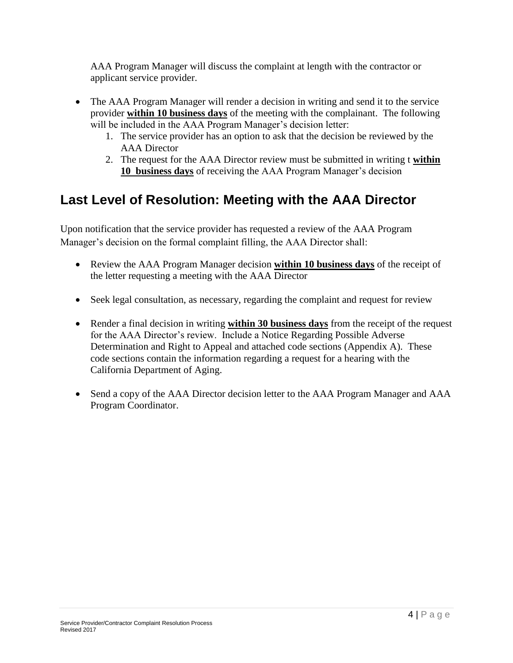AAA Program Manager will discuss the complaint at length with the contractor or applicant service provider.

- The AAA Program Manager will render a decision in writing and send it to the service provider **within 10 business days** of the meeting with the complainant. The following will be included in the AAA Program Manager's decision letter:
	- 1. The service provider has an option to ask that the decision be reviewed by the AAA Director
	- 2. The request for the AAA Director review must be submitted in writing t **within 10 business days** of receiving the AAA Program Manager's decision

#### **Last Level of Resolution: Meeting with the AAA Director**

Upon notification that the service provider has requested a review of the AAA Program Manager's decision on the formal complaint filling, the AAA Director shall:

- Review the AAA Program Manager decision **within 10 business days** of the receipt of the letter requesting a meeting with the AAA Director
- Seek legal consultation, as necessary, regarding the complaint and request for review
- Render a final decision in writing **within 30 business days** from the receipt of the request for the AAA Director's review. Include a Notice Regarding Possible Adverse Determination and Right to Appeal and attached code sections (Appendix A). These code sections contain the information regarding a request for a hearing with the California Department of Aging.
- Send a copy of the AAA Director decision letter to the AAA Program Manager and AAA Program Coordinator.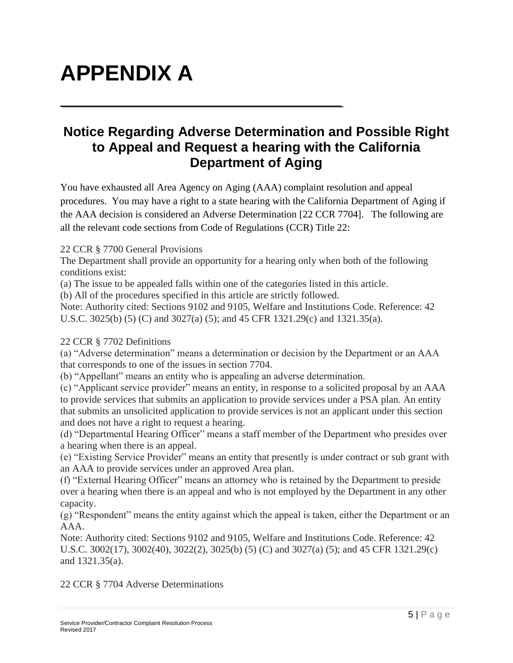## **APPENDIX A**

#### **Notice Regarding Adverse Determination and Possible Right to Appeal and Request a hearing with the California Department of Aging**

You have exhausted all Area Agency on Aging (AAA) complaint resolution and appeal procedures. You may have a right to a state hearing with the California Department of Aging if the AAA decision is considered an Adverse Determination [22 CCR 7704]. The following are all the relevant code sections from Code of Regulations (CCR) Title 22:

#### 22 CCR § 7700 General Provisions

The Department shall provide an opportunity for a hearing only when both of the following conditions exist:

(a) The issue to be appealed falls within one of the categories listed in this article.

(b) All of the procedures specified in this article are strictly followed.

Note: Authority cited: Sections 9102 and 9105, Welfare and Institutions Code. Reference: 42 U.S.C. 3025(b) (5) (C) and 3027(a) (5); and 45 CFR 1321.29(c) and 1321.35(a).

#### 22 CCR § 7702 Definitions

(a) "Adverse determination" means a determination or decision by the Department or an AAA that corresponds to one of the issues in section 7704.

(b) "Appellant" means an entity who is appealing an adverse determination.

(c) "Applicant service provider" means an entity, in response to a solicited proposal by an AAA to provide services that submits an application to provide services under a PSA plan. An entity that submits an unsolicited application to provide services is not an applicant under this section and does not have a right to request a hearing.

(d) "Departmental Hearing Officer" means a staff member of the Department who presides over a hearing when there is an appeal.

(e) "Existing Service Provider" means an entity that presently is under contract or sub grant with an AAA to provide services under an approved Area plan.

(f) "External Hearing Officer" means an attorney who is retained by the Department to preside over a hearing when there is an appeal and who is not employed by the Department in any other capacity.

(g) "Respondent" means the entity against which the appeal is taken, either the Department or an AAA.

Note: Authority cited: Sections 9102 and 9105, Welfare and Institutions Code. Reference: 42 U.S.C. 3002(17), 3002(40), 3022(2), 3025(b) (5) (C) and 3027(a) (5); and 45 CFR 1321.29(c) and 1321.35(a).

22 CCR § 7704 Adverse Determinations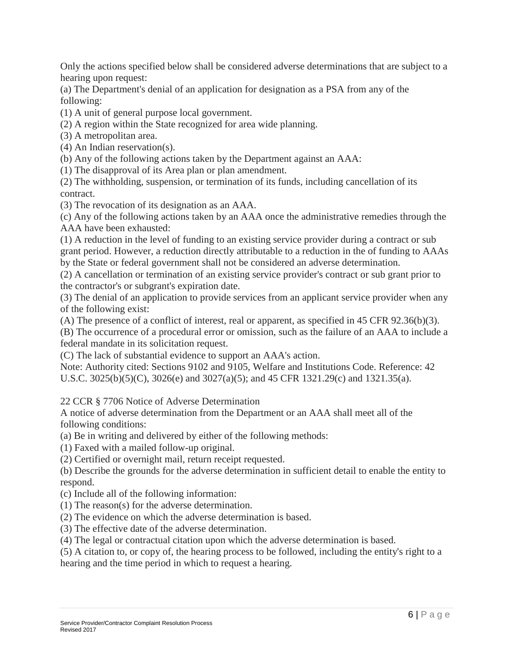Only the actions specified below shall be considered adverse determinations that are subject to a hearing upon request:

(a) The Department's denial of an application for designation as a PSA from any of the following:

(1) A unit of general purpose local government.

(2) A region within the State recognized for area wide planning.

(3) A metropolitan area.

(4) An Indian reservation(s).

(b) Any of the following actions taken by the Department against an AAA:

(1) The disapproval of its Area plan or plan amendment.

(2) The withholding, suspension, or termination of its funds, including cancellation of its contract.

(3) The revocation of its designation as an AAA.

(c) Any of the following actions taken by an AAA once the administrative remedies through the AAA have been exhausted:

(1) A reduction in the level of funding to an existing service provider during a contract or sub grant period. However, a reduction directly attributable to a reduction in the of funding to AAAs by the State or federal government shall not be considered an adverse determination.

(2) A cancellation or termination of an existing service provider's contract or sub grant prior to the contractor's or subgrant's expiration date.

(3) The denial of an application to provide services from an applicant service provider when any of the following exist:

(A) The presence of a conflict of interest, real or apparent, as specified in 45 CFR 92.36(b)(3).

(B) The occurrence of a procedural error or omission, such as the failure of an AAA to include a federal mandate in its solicitation request.

(C) The lack of substantial evidence to support an AAA's action.

Note: Authority cited: Sections 9102 and 9105, Welfare and Institutions Code. Reference: 42 U.S.C. 3025(b)(5)(C), 3026(e) and 3027(a)(5); and 45 CFR 1321.29(c) and 1321.35(a).

22 CCR § 7706 Notice of Adverse Determination

A notice of adverse determination from the Department or an AAA shall meet all of the following conditions:

(a) Be in writing and delivered by either of the following methods:

(1) Faxed with a mailed follow-up original.

(2) Certified or overnight mail, return receipt requested.

(b) Describe the grounds for the adverse determination in sufficient detail to enable the entity to respond.

(c) Include all of the following information:

(1) The reason(s) for the adverse determination.

(2) The evidence on which the adverse determination is based.

(3) The effective date of the adverse determination.

(4) The legal or contractual citation upon which the adverse determination is based.

(5) A citation to, or copy of, the hearing process to be followed, including the entity's right to a

hearing and the time period in which to request a hearing.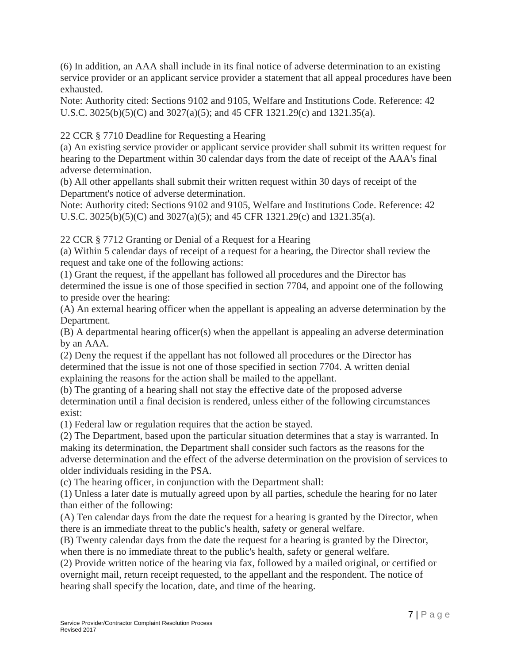(6) In addition, an AAA shall include in its final notice of adverse determination to an existing service provider or an applicant service provider a statement that all appeal procedures have been exhausted.

Note: Authority cited: Sections 9102 and 9105, Welfare and Institutions Code. Reference: 42 U.S.C. 3025(b)(5)(C) and 3027(a)(5); and 45 CFR 1321.29(c) and 1321.35(a).

22 CCR § 7710 Deadline for Requesting a Hearing

(a) An existing service provider or applicant service provider shall submit its written request for hearing to the Department within 30 calendar days from the date of receipt of the AAA's final adverse determination.

(b) All other appellants shall submit their written request within 30 days of receipt of the Department's notice of adverse determination.

Note: Authority cited: Sections 9102 and 9105, Welfare and Institutions Code. Reference: 42 U.S.C. 3025(b)(5)(C) and 3027(a)(5); and 45 CFR 1321.29(c) and 1321.35(a).

22 CCR § 7712 Granting or Denial of a Request for a Hearing

(a) Within 5 calendar days of receipt of a request for a hearing, the Director shall review the request and take one of the following actions:

(1) Grant the request, if the appellant has followed all procedures and the Director has determined the issue is one of those specified in section 7704, and appoint one of the following to preside over the hearing:

(A) An external hearing officer when the appellant is appealing an adverse determination by the Department.

(B) A departmental hearing officer(s) when the appellant is appealing an adverse determination by an AAA.

(2) Deny the request if the appellant has not followed all procedures or the Director has determined that the issue is not one of those specified in section 7704. A written denial explaining the reasons for the action shall be mailed to the appellant.

(b) The granting of a hearing shall not stay the effective date of the proposed adverse determination until a final decision is rendered, unless either of the following circumstances exist:

(1) Federal law or regulation requires that the action be stayed.

(2) The Department, based upon the particular situation determines that a stay is warranted. In making its determination, the Department shall consider such factors as the reasons for the adverse determination and the effect of the adverse determination on the provision of services to older individuals residing in the PSA.

(c) The hearing officer, in conjunction with the Department shall:

(1) Unless a later date is mutually agreed upon by all parties, schedule the hearing for no later than either of the following:

(A) Ten calendar days from the date the request for a hearing is granted by the Director, when there is an immediate threat to the public's health, safety or general welfare.

(B) Twenty calendar days from the date the request for a hearing is granted by the Director, when there is no immediate threat to the public's health, safety or general welfare.

(2) Provide written notice of the hearing via fax, followed by a mailed original, or certified or overnight mail, return receipt requested, to the appellant and the respondent. The notice of hearing shall specify the location, date, and time of the hearing.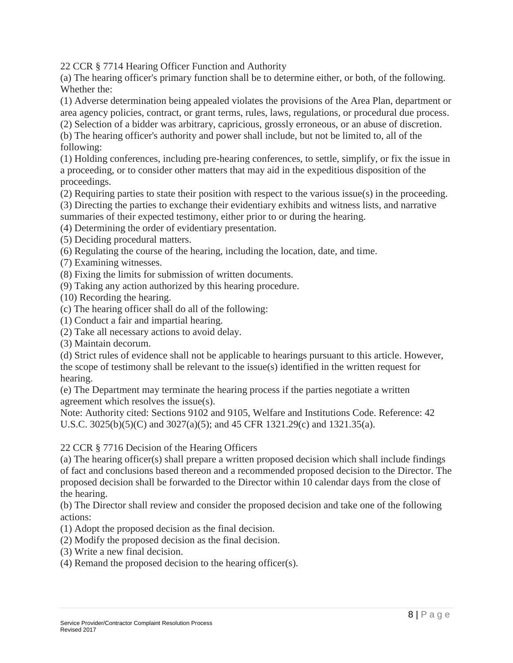22 CCR § 7714 Hearing Officer Function and Authority

(a) The hearing officer's primary function shall be to determine either, or both, of the following. Whether the:

(1) Adverse determination being appealed violates the provisions of the Area Plan, department or area agency policies, contract, or grant terms, rules, laws, regulations, or procedural due process.

(2) Selection of a bidder was arbitrary, capricious, grossly erroneous, or an abuse of discretion.

(b) The hearing officer's authority and power shall include, but not be limited to, all of the following:

(1) Holding conferences, including pre-hearing conferences, to settle, simplify, or fix the issue in a proceeding, or to consider other matters that may aid in the expeditious disposition of the proceedings.

(2) Requiring parties to state their position with respect to the various issue(s) in the proceeding.

(3) Directing the parties to exchange their evidentiary exhibits and witness lists, and narrative

summaries of their expected testimony, either prior to or during the hearing.

(4) Determining the order of evidentiary presentation.

(5) Deciding procedural matters.

(6) Regulating the course of the hearing, including the location, date, and time.

(7) Examining witnesses.

(8) Fixing the limits for submission of written documents.

(9) Taking any action authorized by this hearing procedure.

(10) Recording the hearing.

(c) The hearing officer shall do all of the following:

(1) Conduct a fair and impartial hearing.

(2) Take all necessary actions to avoid delay.

(3) Maintain decorum.

(d) Strict rules of evidence shall not be applicable to hearings pursuant to this article. However, the scope of testimony shall be relevant to the issue(s) identified in the written request for hearing.

(e) The Department may terminate the hearing process if the parties negotiate a written agreement which resolves the issue(s).

Note: Authority cited: Sections 9102 and 9105, Welfare and Institutions Code. Reference: 42 U.S.C. 3025(b)(5)(C) and 3027(a)(5); and 45 CFR 1321.29(c) and 1321.35(a).

22 CCR § 7716 Decision of the Hearing Officers

(a) The hearing officer(s) shall prepare a written proposed decision which shall include findings of fact and conclusions based thereon and a recommended proposed decision to the Director. The proposed decision shall be forwarded to the Director within 10 calendar days from the close of the hearing.

(b) The Director shall review and consider the proposed decision and take one of the following actions:

(1) Adopt the proposed decision as the final decision.

(2) Modify the proposed decision as the final decision.

- (3) Write a new final decision.
- (4) Remand the proposed decision to the hearing officer(s).